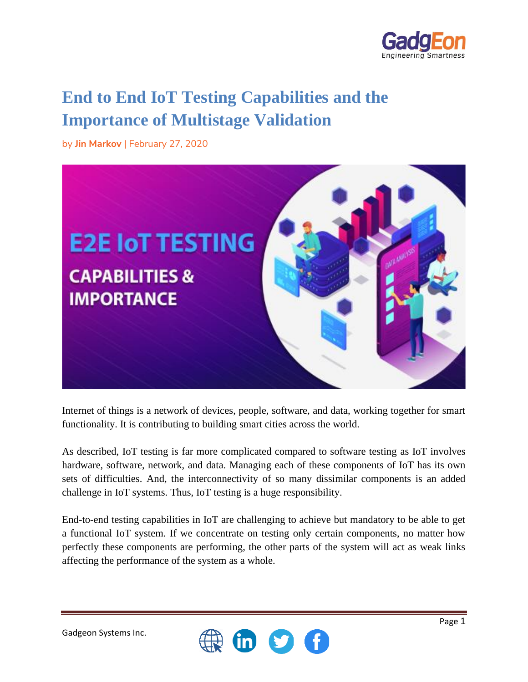

# **End to End IoT Testing Capabilities and the Importance of Multistage Validation**

by **Jin Markov** | February 27, 2020



Internet of things is a network of devices, people, software, and data, working together for smart functionality. It is contributing to building smart cities across the world.

As described, IoT testing is far more complicated compared to software testing as IoT involves hardware, software, network, and data. Managing each of these components of IoT has its own sets of difficulties. And, the interconnectivity of so many dissimilar components is an added challenge in IoT systems. Thus, IoT testing is a huge responsibility.

End-to-end testing capabilities in IoT are challenging to achieve but mandatory to be able to get a functional IoT system. If we concentrate on testing only certain components, no matter how perfectly these components are performing, the other parts of the system will act as weak links affecting the performance of the system as a whole.

 $\omega$ 

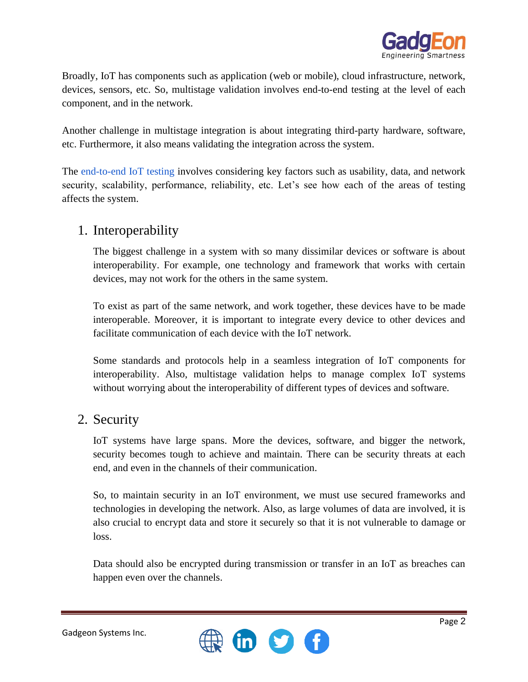

Broadly, IoT has components such as application (web or mobile), cloud infrastructure, network, devices, sensors, etc. So, multistage validation involves end-to-end testing at the level of each component, and in the network.

Another challenge in multistage integration is about integrating third-party hardware, software, etc. Furthermore, it also means validating the integration across the system.

The [end-to-end IoT testing](https://www.gadgeon.com/iot-services/end-to-end-iot-testing/) involves considering key factors such as usability, data, and network security, scalability, performance, reliability, etc. Let's see how each of the areas of testing affects the system.

#### 1. Interoperability

The biggest challenge in a system with so many dissimilar devices or software is about interoperability. For example, one technology and framework that works with certain devices, may not work for the others in the same system.

To exist as part of the same network, and work together, these devices have to be made interoperable. Moreover, it is important to integrate every device to other devices and facilitate communication of each device with the IoT network.

Some standards and protocols help in a seamless integration of IoT components for interoperability. Also, multistage validation helps to manage complex IoT systems without worrying about the interoperability of different types of devices and software.

#### 2. Security

IoT systems have large spans. More the devices, software, and bigger the network, security becomes tough to achieve and maintain. There can be security threats at each end, and even in the channels of their communication.

So, to maintain security in an IoT environment, we must use secured frameworks and technologies in developing the network. Also, as large volumes of data are involved, it is also crucial to encrypt data and store it securely so that it is not vulnerable to damage or loss.

Data should also be encrypted during transmission or transfer in an IoT as breaches can happen even over the channels.

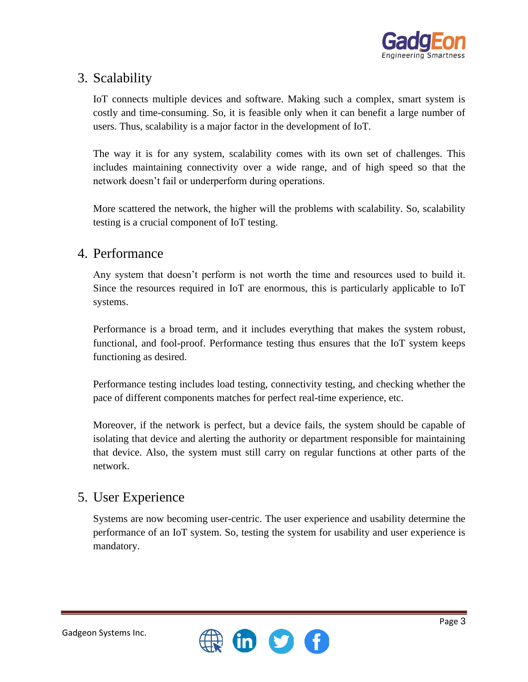

## 3. Scalability

IoT connects multiple devices and software. Making such a complex, smart system is costly and time-consuming. So, it is feasible only when it can benefit a large number of users. Thus, scalability is a major factor in the development of IoT.

The way it is for any system, scalability comes with its own set of challenges. This includes maintaining connectivity over a wide range, and of high speed so that the network doesn't fail or underperform during operations.

More scattered the network, the higher will the problems with scalability. So, scalability testing is a crucial component of IoT testing.

### 4. Performance

Any system that doesn't perform is not worth the time and resources used to build it. Since the resources required in IoT are enormous, this is particularly applicable to IoT systems.

Performance is a broad term, and it includes everything that makes the system robust, functional, and fool-proof. Performance testing thus ensures that the IoT system keeps functioning as desired.

Performance testing includes load testing, connectivity testing, and checking whether the pace of different components matches for perfect real-time experience, etc.

Moreover, if the network is perfect, but a device fails, the system should be capable of isolating that device and alerting the authority or department responsible for maintaining that device. Also, the system must still carry on regular functions at other parts of the network.

### 5. User Experience

Systems are now becoming user-centric. The user experience and usability determine the performance of an IoT system. So, testing the system for usability and user experience is mandatory.